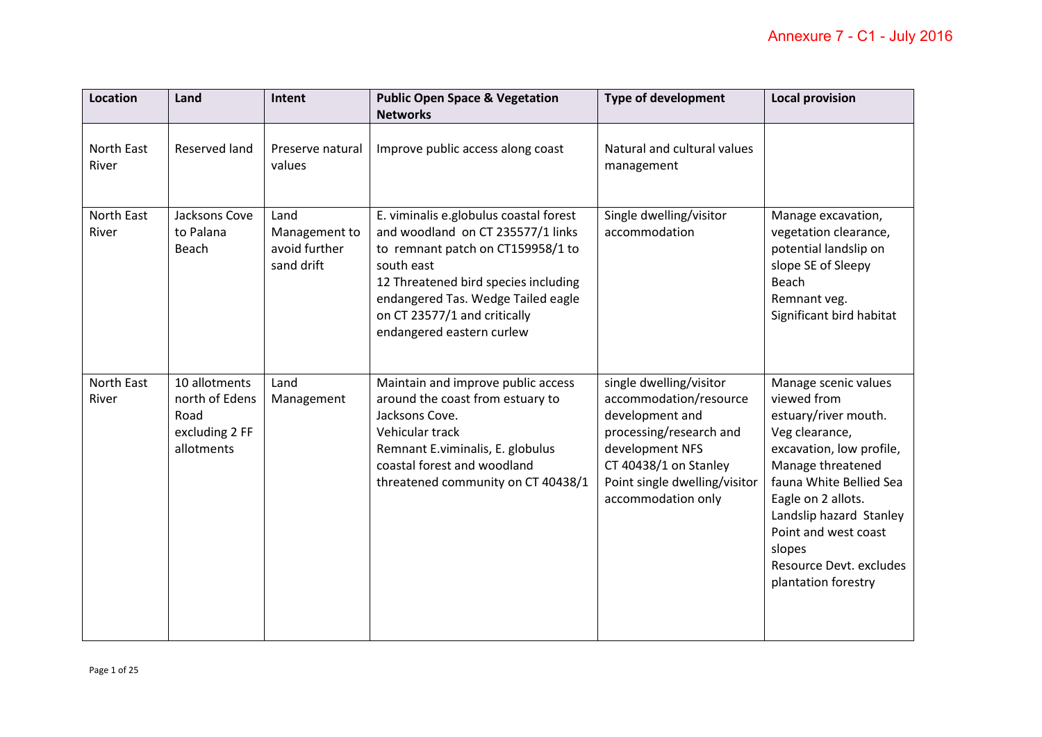| Location            | Land                                                                    | Intent                                               | <b>Public Open Space &amp; Vegetation</b><br><b>Networks</b>                                                                                                                                                                                                              | <b>Type of development</b>                                                                                                                                                                         | <b>Local provision</b>                                                                                                                                                                                                                                                                         |
|---------------------|-------------------------------------------------------------------------|------------------------------------------------------|---------------------------------------------------------------------------------------------------------------------------------------------------------------------------------------------------------------------------------------------------------------------------|----------------------------------------------------------------------------------------------------------------------------------------------------------------------------------------------------|------------------------------------------------------------------------------------------------------------------------------------------------------------------------------------------------------------------------------------------------------------------------------------------------|
| North East<br>River | Reserved land                                                           | Preserve natural<br>values                           | Improve public access along coast                                                                                                                                                                                                                                         | Natural and cultural values<br>management                                                                                                                                                          |                                                                                                                                                                                                                                                                                                |
| North East<br>River | Jacksons Cove<br>to Palana<br><b>Beach</b>                              | Land<br>Management to<br>avoid further<br>sand drift | E. viminalis e.globulus coastal forest<br>and woodland on CT 235577/1 links<br>to remnant patch on CT159958/1 to<br>south east<br>12 Threatened bird species including<br>endangered Tas. Wedge Tailed eagle<br>on CT 23577/1 and critically<br>endangered eastern curlew | Single dwelling/visitor<br>accommodation                                                                                                                                                           | Manage excavation,<br>vegetation clearance,<br>potential landslip on<br>slope SE of Sleepy<br>Beach<br>Remnant veg.<br>Significant bird habitat                                                                                                                                                |
| North East<br>River | 10 allotments<br>north of Edens<br>Road<br>excluding 2 FF<br>allotments | Land<br>Management                                   | Maintain and improve public access<br>around the coast from estuary to<br>Jacksons Cove.<br>Vehicular track<br>Remnant E.viminalis, E. globulus<br>coastal forest and woodland<br>threatened community on CT 40438/1                                                      | single dwelling/visitor<br>accommodation/resource<br>development and<br>processing/research and<br>development NFS<br>CT 40438/1 on Stanley<br>Point single dwelling/visitor<br>accommodation only | Manage scenic values<br>viewed from<br>estuary/river mouth.<br>Veg clearance,<br>excavation, low profile,<br>Manage threatened<br>fauna White Bellied Sea<br>Eagle on 2 allots.<br>Landslip hazard Stanley<br>Point and west coast<br>slopes<br>Resource Devt. excludes<br>plantation forestry |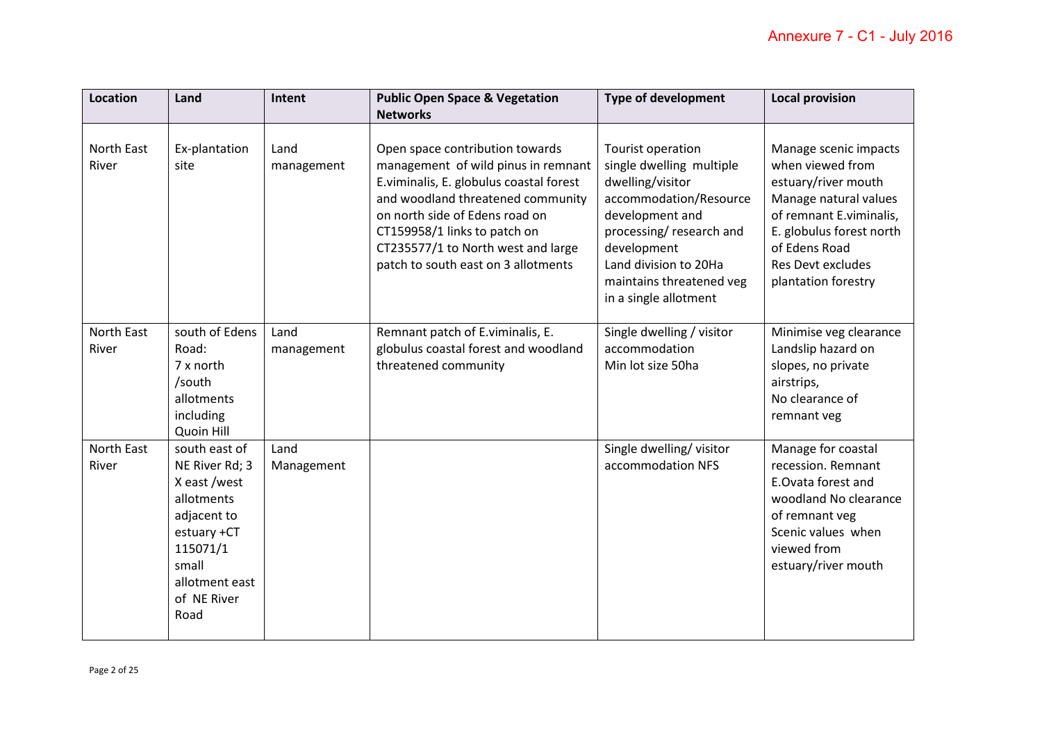| <b>Location</b>     | Land                                                                                                                                                      | Intent             | <b>Public Open Space &amp; Vegetation</b>                                                                                                                                                                                                                                                             | <b>Type of development</b>                                                                                                                                                                                                             | <b>Local provision</b>                                                                                                                                                                                               |
|---------------------|-----------------------------------------------------------------------------------------------------------------------------------------------------------|--------------------|-------------------------------------------------------------------------------------------------------------------------------------------------------------------------------------------------------------------------------------------------------------------------------------------------------|----------------------------------------------------------------------------------------------------------------------------------------------------------------------------------------------------------------------------------------|----------------------------------------------------------------------------------------------------------------------------------------------------------------------------------------------------------------------|
|                     |                                                                                                                                                           |                    | <b>Networks</b>                                                                                                                                                                                                                                                                                       |                                                                                                                                                                                                                                        |                                                                                                                                                                                                                      |
| North East<br>River | Ex-plantation<br>site                                                                                                                                     | Land<br>management | Open space contribution towards<br>management of wild pinus in remnant<br>E.viminalis, E. globulus coastal forest<br>and woodland threatened community<br>on north side of Edens road on<br>CT159958/1 links to patch on<br>CT235577/1 to North west and large<br>patch to south east on 3 allotments | Tourist operation<br>single dwelling multiple<br>dwelling/visitor<br>accommodation/Resource<br>development and<br>processing/research and<br>development<br>Land division to 20Ha<br>maintains threatened veg<br>in a single allotment | Manage scenic impacts<br>when viewed from<br>estuary/river mouth<br>Manage natural values<br>of remnant E.viminalis,<br>E. globulus forest north<br>of Edens Road<br><b>Res Devt excludes</b><br>plantation forestry |
| North East<br>River | south of Edens<br>Road:<br>7 x north<br>/south<br>allotments<br>including<br>Quoin Hill                                                                   | Land<br>management | Remnant patch of E.viminalis, E.<br>globulus coastal forest and woodland<br>threatened community                                                                                                                                                                                                      | Single dwelling / visitor<br>accommodation<br>Min lot size 50ha                                                                                                                                                                        | Minimise veg clearance<br>Landslip hazard on<br>slopes, no private<br>airstrips,<br>No clearance of<br>remnant veg                                                                                                   |
| North East<br>River | south east of<br>NE River Rd; 3<br>X east /west<br>allotments<br>adjacent to<br>estuary +CT<br>115071/1<br>small<br>allotment east<br>of NE River<br>Road | Land<br>Management |                                                                                                                                                                                                                                                                                                       | Single dwelling/visitor<br>accommodation NFS                                                                                                                                                                                           | Manage for coastal<br>recession. Remnant<br>E.Ovata forest and<br>woodland No clearance<br>of remnant veg<br>Scenic values when<br>viewed from<br>estuary/river mouth                                                |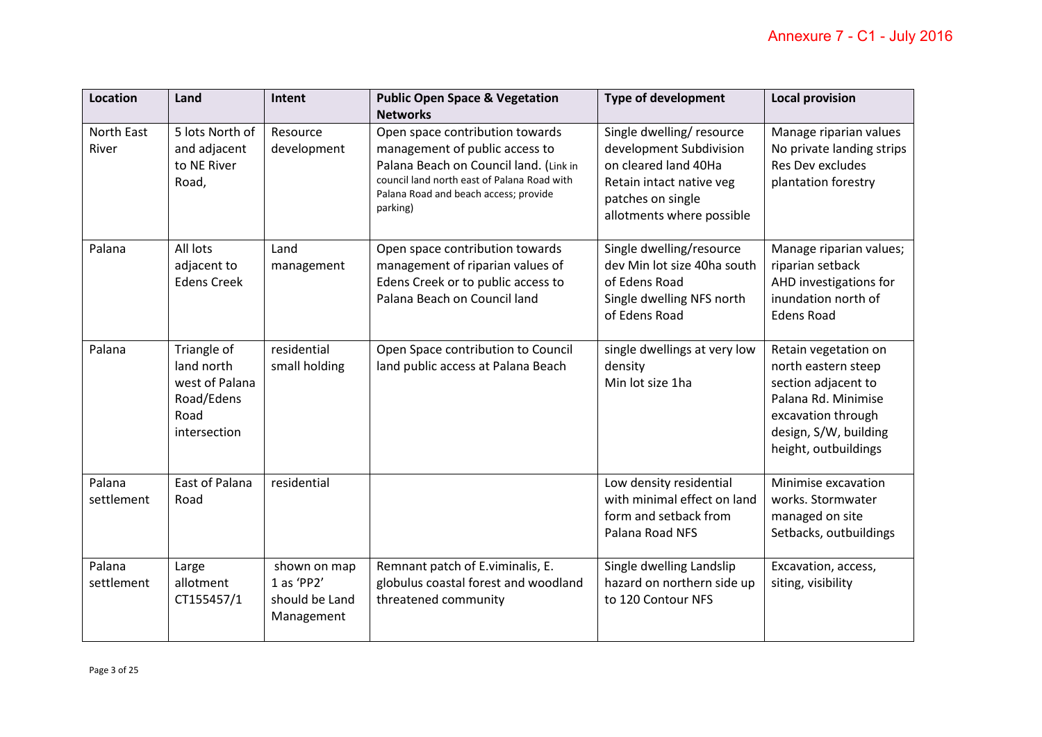| Location             | Land                                                                              | Intent                                                     | <b>Public Open Space &amp; Vegetation</b><br><b>Networks</b>                                                                                                                                                    | <b>Type of development</b>                                                                                                                                | <b>Local provision</b>                                                                                                                                           |
|----------------------|-----------------------------------------------------------------------------------|------------------------------------------------------------|-----------------------------------------------------------------------------------------------------------------------------------------------------------------------------------------------------------------|-----------------------------------------------------------------------------------------------------------------------------------------------------------|------------------------------------------------------------------------------------------------------------------------------------------------------------------|
| North East<br>River  | 5 lots North of<br>and adjacent<br>to NE River<br>Road,                           | Resource<br>development                                    | Open space contribution towards<br>management of public access to<br>Palana Beach on Council land. (Link in<br>council land north east of Palana Road with<br>Palana Road and beach access; provide<br>parking) | Single dwelling/resource<br>development Subdivision<br>on cleared land 40Ha<br>Retain intact native veg<br>patches on single<br>allotments where possible | Manage riparian values<br>No private landing strips<br><b>Res Dev excludes</b><br>plantation forestry                                                            |
| Palana               | All lots<br>adjacent to<br><b>Edens Creek</b>                                     | Land<br>management                                         | Open space contribution towards<br>management of riparian values of<br>Edens Creek or to public access to<br>Palana Beach on Council land                                                                       | Single dwelling/resource<br>dev Min lot size 40ha south<br>of Edens Road<br>Single dwelling NFS north<br>of Edens Road                                    | Manage riparian values;<br>riparian setback<br>AHD investigations for<br>inundation north of<br><b>Edens Road</b>                                                |
| Palana               | Triangle of<br>land north<br>west of Palana<br>Road/Edens<br>Road<br>intersection | residential<br>small holding                               | Open Space contribution to Council<br>land public access at Palana Beach                                                                                                                                        | single dwellings at very low<br>density<br>Min lot size 1ha                                                                                               | Retain vegetation on<br>north eastern steep<br>section adjacent to<br>Palana Rd. Minimise<br>excavation through<br>design, S/W, building<br>height, outbuildings |
| Palana<br>settlement | <b>East of Palana</b><br>Road                                                     | residential                                                |                                                                                                                                                                                                                 | Low density residential<br>with minimal effect on land<br>form and setback from<br>Palana Road NFS                                                        | Minimise excavation<br>works. Stormwater<br>managed on site<br>Setbacks, outbuildings                                                                            |
| Palana<br>settlement | Large<br>allotment<br>CT155457/1                                                  | shown on map<br>1 as 'PP2'<br>should be Land<br>Management | Remnant patch of E.viminalis, E.<br>globulus coastal forest and woodland<br>threatened community                                                                                                                | Single dwelling Landslip<br>hazard on northern side up<br>to 120 Contour NFS                                                                              | Excavation, access,<br>siting, visibility                                                                                                                        |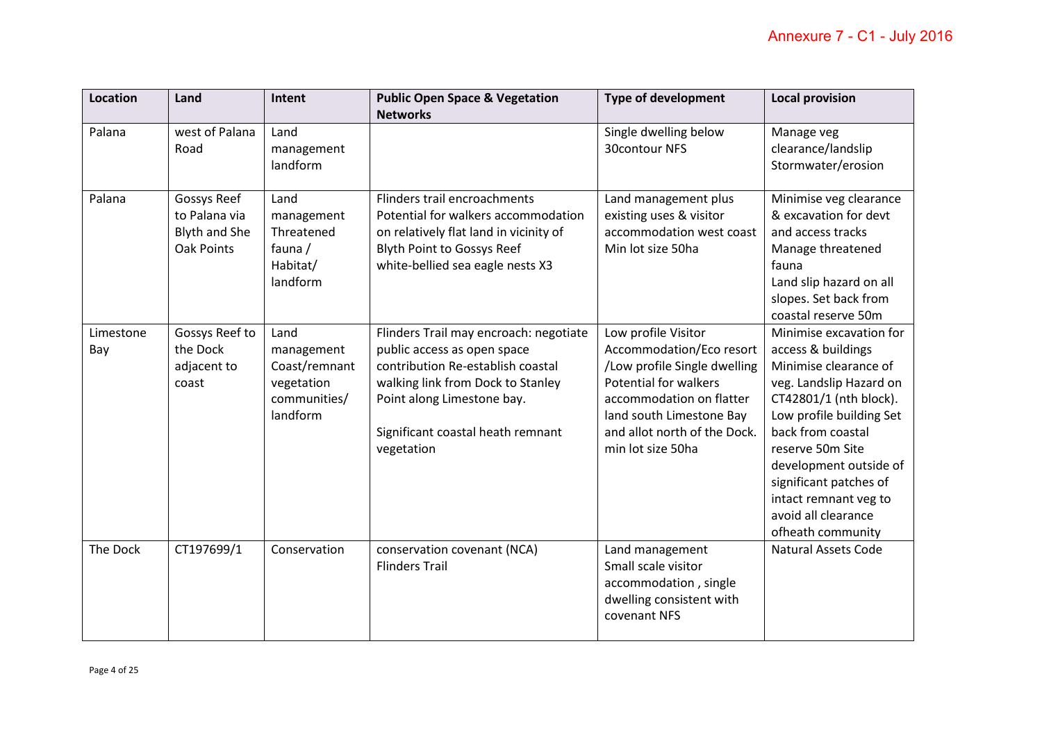| <b>Location</b>  | Land                                                               | Intent                                                                        | <b>Public Open Space &amp; Vegetation</b>                                                                                                                                                                                        | <b>Type of development</b>                                                                                                                                                                                            | <b>Local provision</b>                                                                                                                                                                                                                                                                                                    |
|------------------|--------------------------------------------------------------------|-------------------------------------------------------------------------------|----------------------------------------------------------------------------------------------------------------------------------------------------------------------------------------------------------------------------------|-----------------------------------------------------------------------------------------------------------------------------------------------------------------------------------------------------------------------|---------------------------------------------------------------------------------------------------------------------------------------------------------------------------------------------------------------------------------------------------------------------------------------------------------------------------|
|                  |                                                                    |                                                                               | <b>Networks</b>                                                                                                                                                                                                                  |                                                                                                                                                                                                                       |                                                                                                                                                                                                                                                                                                                           |
| Palana           | west of Palana<br>Road                                             | Land<br>management<br>landform                                                |                                                                                                                                                                                                                                  | Single dwelling below<br>30contour NFS                                                                                                                                                                                | Manage veg<br>clearance/landslip<br>Stormwater/erosion                                                                                                                                                                                                                                                                    |
| Palana           | Gossys Reef<br>to Palana via<br><b>Blyth and She</b><br>Oak Points | Land<br>management<br>Threatened<br>fauna /<br>Habitat/<br>landform           | Flinders trail encroachments<br>Potential for walkers accommodation<br>on relatively flat land in vicinity of<br><b>Blyth Point to Gossys Reef</b><br>white-bellied sea eagle nests X3                                           | Land management plus<br>existing uses & visitor<br>accommodation west coast<br>Min lot size 50ha                                                                                                                      | Minimise veg clearance<br>& excavation for devt<br>and access tracks<br>Manage threatened<br>fauna<br>Land slip hazard on all<br>slopes. Set back from<br>coastal reserve 50m                                                                                                                                             |
| Limestone<br>Bay | Gossys Reef to<br>the Dock<br>adjacent to<br>coast                 | Land<br>management<br>Coast/remnant<br>vegetation<br>communities/<br>landform | Flinders Trail may encroach: negotiate<br>public access as open space<br>contribution Re-establish coastal<br>walking link from Dock to Stanley<br>Point along Limestone bay.<br>Significant coastal heath remnant<br>vegetation | Low profile Visitor<br>Accommodation/Eco resort<br>/Low profile Single dwelling<br>Potential for walkers<br>accommodation on flatter<br>land south Limestone Bay<br>and allot north of the Dock.<br>min lot size 50ha | Minimise excavation for<br>access & buildings<br>Minimise clearance of<br>veg. Landslip Hazard on<br>CT42801/1 (nth block).<br>Low profile building Set<br>back from coastal<br>reserve 50m Site<br>development outside of<br>significant patches of<br>intact remnant veg to<br>avoid all clearance<br>ofheath community |
| The Dock         | CT197699/1                                                         | Conservation                                                                  | conservation covenant (NCA)<br><b>Flinders Trail</b>                                                                                                                                                                             | Land management<br>Small scale visitor<br>accommodation, single<br>dwelling consistent with<br>covenant NFS                                                                                                           | <b>Natural Assets Code</b>                                                                                                                                                                                                                                                                                                |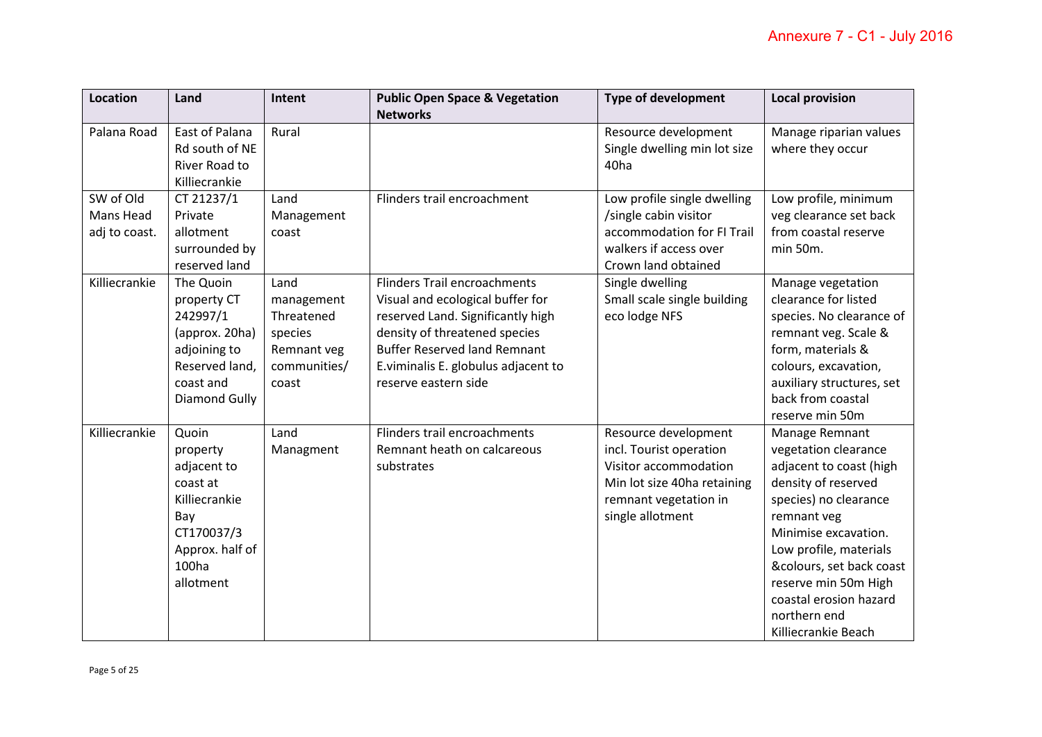| Location      | Land            | Intent       | <b>Public Open Space &amp; Vegetation</b> | <b>Type of development</b>   | <b>Local provision</b>    |
|---------------|-----------------|--------------|-------------------------------------------|------------------------------|---------------------------|
|               |                 |              | <b>Networks</b>                           |                              |                           |
| Palana Road   | East of Palana  | Rural        |                                           | Resource development         | Manage riparian values    |
|               | Rd south of NE  |              |                                           | Single dwelling min lot size | where they occur          |
|               | River Road to   |              |                                           | 40 <sub>ha</sub>             |                           |
|               | Killiecrankie   |              |                                           |                              |                           |
| SW of Old     | CT 21237/1      | Land         | Flinders trail encroachment               | Low profile single dwelling  | Low profile, minimum      |
| Mans Head     | Private         | Management   |                                           | /single cabin visitor        | veg clearance set back    |
| adj to coast. | allotment       | coast        |                                           | accommodation for FI Trail   | from coastal reserve      |
|               | surrounded by   |              |                                           | walkers if access over       | min 50m.                  |
|               | reserved land   |              |                                           | Crown land obtained          |                           |
| Killiecrankie | The Quoin       | Land         | <b>Flinders Trail encroachments</b>       | Single dwelling              | Manage vegetation         |
|               | property CT     | management   | Visual and ecological buffer for          | Small scale single building  | clearance for listed      |
|               | 242997/1        | Threatened   | reserved Land. Significantly high         | eco lodge NFS                | species. No clearance of  |
|               | (approx. 20ha)  | species      | density of threatened species             |                              | remnant veg. Scale &      |
|               | adjoining to    | Remnant veg  | <b>Buffer Reserved land Remnant</b>       |                              | form, materials &         |
|               | Reserved land,  | communities/ | E.viminalis E. globulus adjacent to       |                              | colours, excavation,      |
|               | coast and       | coast        | reserve eastern side                      |                              | auxiliary structures, set |
|               | Diamond Gully   |              |                                           |                              | back from coastal         |
|               |                 |              |                                           |                              | reserve min 50m           |
| Killiecrankie | Quoin           | Land         | Flinders trail encroachments              | Resource development         | Manage Remnant            |
|               | property        | Managment    | Remnant heath on calcareous               | incl. Tourist operation      | vegetation clearance      |
|               | adjacent to     |              | substrates                                | Visitor accommodation        | adjacent to coast (high   |
|               | coast at        |              |                                           | Min lot size 40ha retaining  | density of reserved       |
|               | Killiecrankie   |              |                                           | remnant vegetation in        | species) no clearance     |
|               | Bay             |              |                                           | single allotment             | remnant veg               |
|               | CT170037/3      |              |                                           |                              | Minimise excavation.      |
|               | Approx. half of |              |                                           |                              | Low profile, materials    |
|               | 100ha           |              |                                           |                              | &colours, set back coast  |
|               | allotment       |              |                                           |                              | reserve min 50m High      |
|               |                 |              |                                           |                              | coastal erosion hazard    |
|               |                 |              |                                           |                              | northern end              |
|               |                 |              |                                           |                              | Killiecrankie Beach       |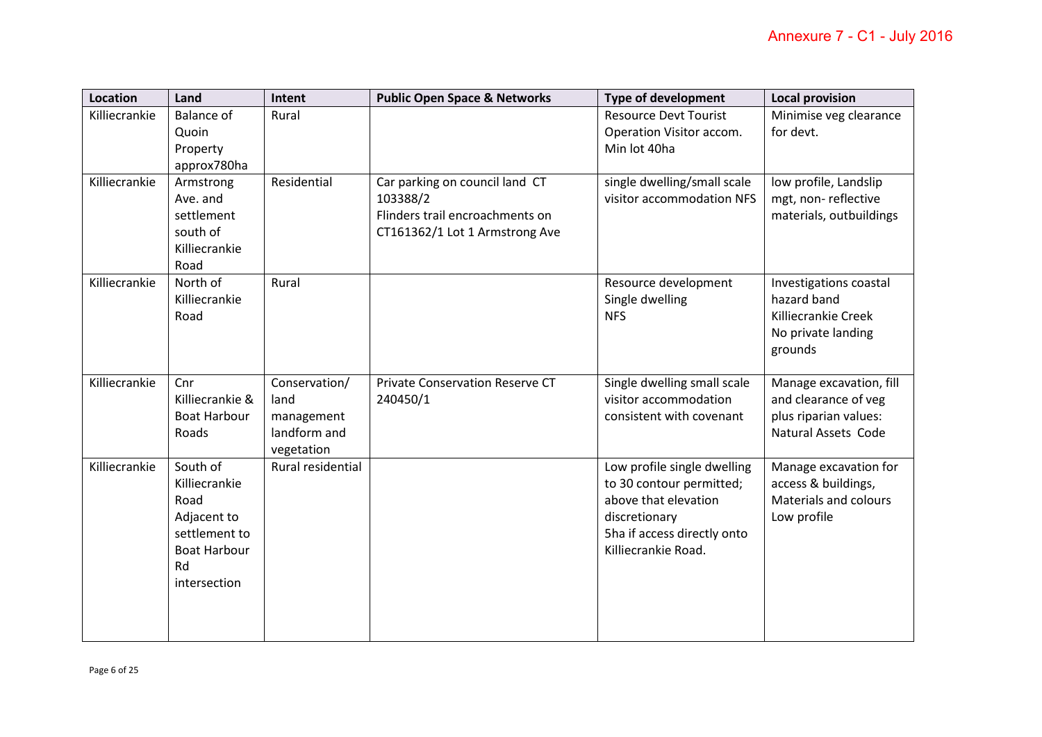| <b>Location</b> | Land                                                                                                           | Intent                                                            | <b>Public Open Space &amp; Networks</b>                                                                         | <b>Type of development</b>                                                                                                                             | <b>Local provision</b>                                                                                 |
|-----------------|----------------------------------------------------------------------------------------------------------------|-------------------------------------------------------------------|-----------------------------------------------------------------------------------------------------------------|--------------------------------------------------------------------------------------------------------------------------------------------------------|--------------------------------------------------------------------------------------------------------|
| Killiecrankie   | <b>Balance of</b><br>Quoin<br>Property<br>approx780ha                                                          | Rural                                                             |                                                                                                                 | <b>Resource Devt Tourist</b><br>Operation Visitor accom.<br>Min lot 40ha                                                                               | Minimise veg clearance<br>for devt.                                                                    |
| Killiecrankie   | Armstrong<br>Ave. and<br>settlement<br>south of<br>Killiecrankie<br>Road                                       | Residential                                                       | Car parking on council land CT<br>103388/2<br>Flinders trail encroachments on<br>CT161362/1 Lot 1 Armstrong Ave | single dwelling/small scale<br>visitor accommodation NFS                                                                                               | low profile, Landslip<br>mgt, non-reflective<br>materials, outbuildings                                |
| Killiecrankie   | North of<br>Killiecrankie<br>Road                                                                              | Rural                                                             |                                                                                                                 | Resource development<br>Single dwelling<br><b>NFS</b>                                                                                                  | Investigations coastal<br>hazard band<br>Killiecrankie Creek<br>No private landing<br>grounds          |
| Killiecrankie   | Cnr<br>Killiecrankie &<br><b>Boat Harbour</b><br>Roads                                                         | Conservation/<br>land<br>management<br>landform and<br>vegetation | <b>Private Conservation Reserve CT</b><br>240450/1                                                              | Single dwelling small scale<br>visitor accommodation<br>consistent with covenant                                                                       | Manage excavation, fill<br>and clearance of veg<br>plus riparian values:<br><b>Natural Assets Code</b> |
| Killiecrankie   | South of<br>Killiecrankie<br>Road<br>Adjacent to<br>settlement to<br><b>Boat Harbour</b><br>Rd<br>intersection | Rural residential                                                 |                                                                                                                 | Low profile single dwelling<br>to 30 contour permitted;<br>above that elevation<br>discretionary<br>5ha if access directly onto<br>Killiecrankie Road. | Manage excavation for<br>access & buildings,<br>Materials and colours<br>Low profile                   |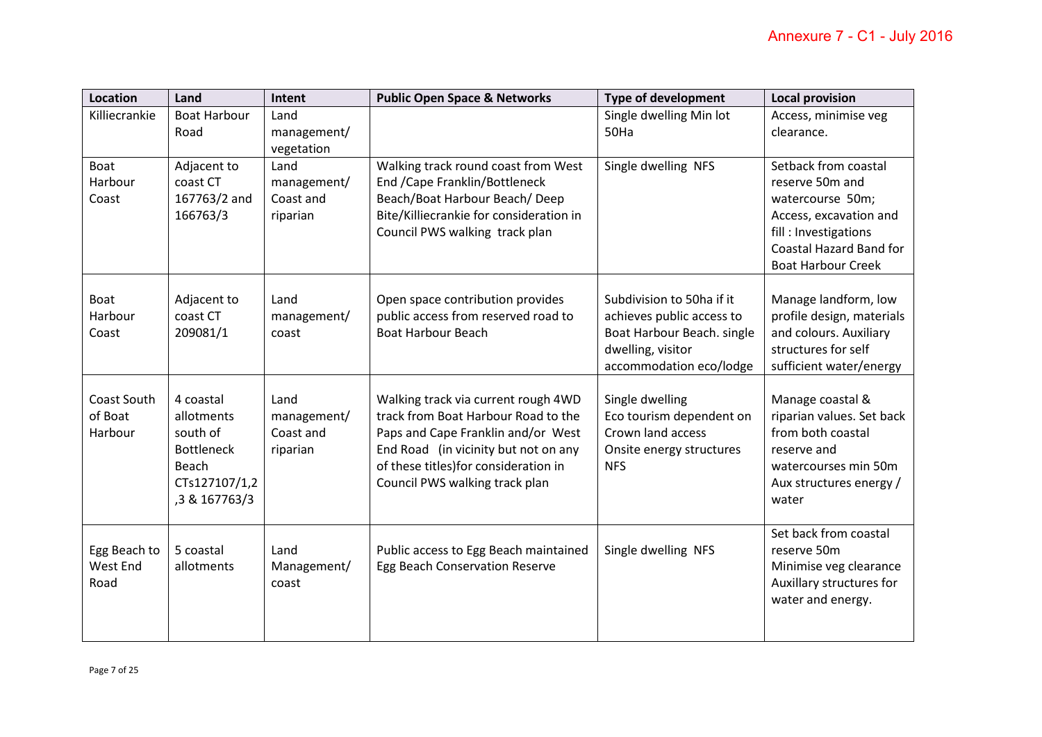| Location                          | Land                                                                                                | Intent                                       | <b>Public Open Space &amp; Networks</b>                                                                                                                                                                                             | <b>Type of development</b>                                                                                                           | <b>Local provision</b>                                                                                                                        |
|-----------------------------------|-----------------------------------------------------------------------------------------------------|----------------------------------------------|-------------------------------------------------------------------------------------------------------------------------------------------------------------------------------------------------------------------------------------|--------------------------------------------------------------------------------------------------------------------------------------|-----------------------------------------------------------------------------------------------------------------------------------------------|
| Killiecrankie                     | <b>Boat Harbour</b>                                                                                 | Land                                         |                                                                                                                                                                                                                                     | Single dwelling Min lot                                                                                                              | Access, minimise veg                                                                                                                          |
|                                   | Road                                                                                                | management/                                  |                                                                                                                                                                                                                                     | 50Ha                                                                                                                                 | clearance.                                                                                                                                    |
|                                   |                                                                                                     | vegetation                                   |                                                                                                                                                                                                                                     |                                                                                                                                      |                                                                                                                                               |
| <b>Boat</b>                       | Adjacent to                                                                                         | Land                                         | Walking track round coast from West                                                                                                                                                                                                 | Single dwelling NFS                                                                                                                  | Setback from coastal                                                                                                                          |
| Harbour                           | coast CT                                                                                            | management/                                  | End / Cape Franklin/ Bottleneck                                                                                                                                                                                                     |                                                                                                                                      | reserve 50m and                                                                                                                               |
| Coast                             | 167763/2 and                                                                                        | Coast and                                    | Beach/Boat Harbour Beach/Deep                                                                                                                                                                                                       |                                                                                                                                      | watercourse 50m;                                                                                                                              |
|                                   | 166763/3                                                                                            | riparian                                     | Bite/Killiecrankie for consideration in                                                                                                                                                                                             |                                                                                                                                      | Access, excavation and                                                                                                                        |
|                                   |                                                                                                     |                                              | Council PWS walking track plan                                                                                                                                                                                                      |                                                                                                                                      | fill: Investigations                                                                                                                          |
|                                   |                                                                                                     |                                              |                                                                                                                                                                                                                                     |                                                                                                                                      | <b>Coastal Hazard Band for</b>                                                                                                                |
|                                   |                                                                                                     |                                              |                                                                                                                                                                                                                                     |                                                                                                                                      | <b>Boat Harbour Creek</b>                                                                                                                     |
| <b>Boat</b><br>Harbour<br>Coast   | Adjacent to<br>coast CT<br>209081/1                                                                 | Land<br>management/<br>coast                 | Open space contribution provides<br>public access from reserved road to<br><b>Boat Harbour Beach</b>                                                                                                                                | Subdivision to 50ha if it<br>achieves public access to<br>Boat Harbour Beach. single<br>dwelling, visitor<br>accommodation eco/lodge | Manage landform, low<br>profile design, materials<br>and colours. Auxiliary<br>structures for self<br>sufficient water/energy                 |
| Coast South<br>of Boat<br>Harbour | 4 coastal<br>allotments<br>south of<br><b>Bottleneck</b><br>Beach<br>CTs127107/1,2<br>,3 & 167763/3 | Land<br>management/<br>Coast and<br>riparian | Walking track via current rough 4WD<br>track from Boat Harbour Road to the<br>Paps and Cape Franklin and/or West<br>End Road (in vicinity but not on any<br>of these titles) for consideration in<br>Council PWS walking track plan | Single dwelling<br>Eco tourism dependent on<br>Crown land access<br>Onsite energy structures<br><b>NFS</b>                           | Manage coastal &<br>riparian values. Set back<br>from both coastal<br>reserve and<br>watercourses min 50m<br>Aux structures energy /<br>water |
| Egg Beach to<br>West End<br>Road  | 5 coastal<br>allotments                                                                             | Land<br>Management/<br>coast                 | Public access to Egg Beach maintained<br>Egg Beach Conservation Reserve                                                                                                                                                             | Single dwelling NFS                                                                                                                  | Set back from coastal<br>reserve 50m<br>Minimise veg clearance<br>Auxillary structures for<br>water and energy.                               |